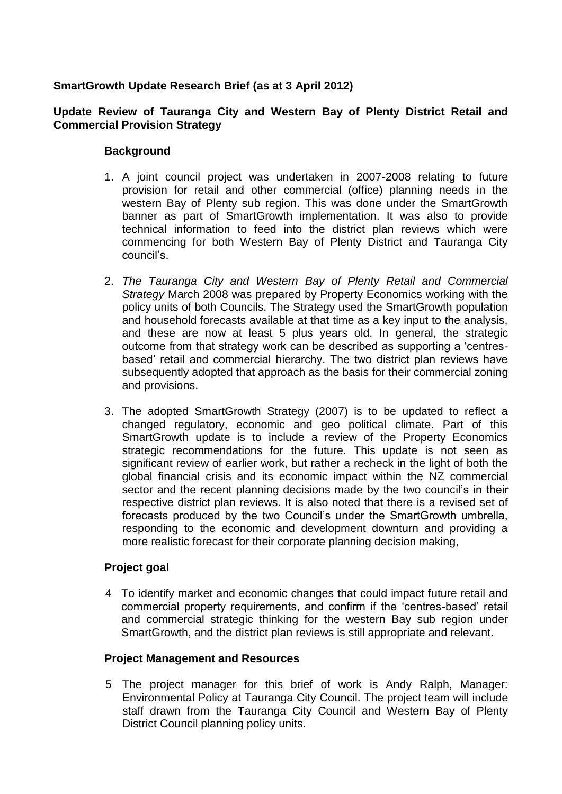# **SmartGrowth Update Research Brief (as at 3 April 2012)**

#### **Update Review of Tauranga City and Western Bay of Plenty District Retail and Commercial Provision Strategy**

### **Background**

- 1. A joint council project was undertaken in 2007-2008 relating to future provision for retail and other commercial (office) planning needs in the western Bay of Plenty sub region. This was done under the SmartGrowth banner as part of SmartGrowth implementation. It was also to provide technical information to feed into the district plan reviews which were commencing for both Western Bay of Plenty District and Tauranga City council's.
- 2. *The Tauranga City and Western Bay of Plenty Retail and Commercial Strategy* March 2008 was prepared by Property Economics working with the policy units of both Councils. The Strategy used the SmartGrowth population and household forecasts available at that time as a key input to the analysis, and these are now at least 5 plus years old. In general, the strategic outcome from that strategy work can be described as supporting a 'centresbased' retail and commercial hierarchy. The two district plan reviews have subsequently adopted that approach as the basis for their commercial zoning and provisions.
- 3. The adopted SmartGrowth Strategy (2007) is to be updated to reflect a changed regulatory, economic and geo political climate. Part of this SmartGrowth update is to include a review of the Property Economics strategic recommendations for the future. This update is not seen as significant review of earlier work, but rather a recheck in the light of both the global financial crisis and its economic impact within the NZ commercial sector and the recent planning decisions made by the two council's in their respective district plan reviews. It is also noted that there is a revised set of forecasts produced by the two Council's under the SmartGrowth umbrella, responding to the economic and development downturn and providing a more realistic forecast for their corporate planning decision making,

#### **Project goal**

4 To identify market and economic changes that could impact future retail and commercial property requirements, and confirm if the 'centres-based' retail and commercial strategic thinking for the western Bay sub region under SmartGrowth, and the district plan reviews is still appropriate and relevant.

#### **Project Management and Resources**

5 The project manager for this brief of work is Andy Ralph, Manager: Environmental Policy at Tauranga City Council. The project team will include staff drawn from the Tauranga City Council and Western Bay of Plenty District Council planning policy units.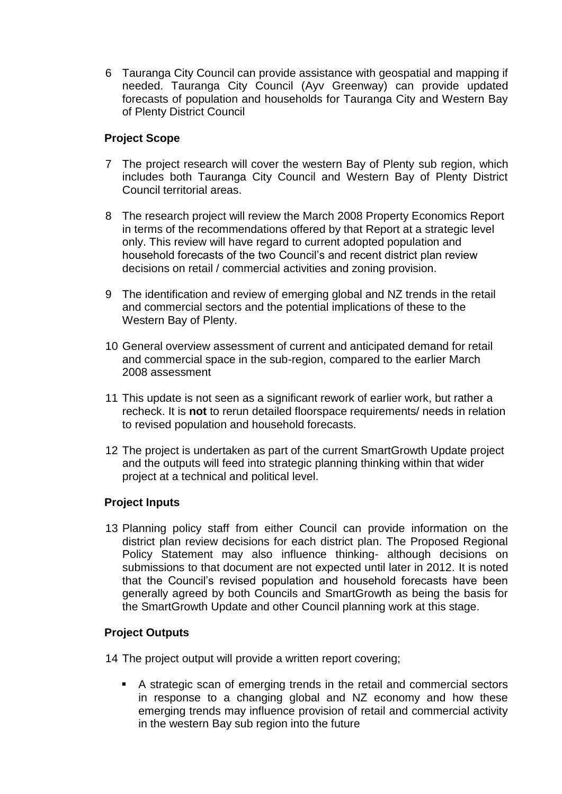6 Tauranga City Council can provide assistance with geospatial and mapping if needed. Tauranga City Council (Ayv Greenway) can provide updated forecasts of population and households for Tauranga City and Western Bay of Plenty District Council

### **Project Scope**

- 7 The project research will cover the western Bay of Plenty sub region, which includes both Tauranga City Council and Western Bay of Plenty District Council territorial areas.
- 8 The research project will review the March 2008 Property Economics Report in terms of the recommendations offered by that Report at a strategic level only. This review will have regard to current adopted population and household forecasts of the two Council's and recent district plan review decisions on retail / commercial activities and zoning provision.
- 9 The identification and review of emerging global and NZ trends in the retail and commercial sectors and the potential implications of these to the Western Bay of Plenty.
- 10 General overview assessment of current and anticipated demand for retail and commercial space in the sub-region, compared to the earlier March 2008 assessment
- 11 This update is not seen as a significant rework of earlier work, but rather a recheck. It is **not** to rerun detailed floorspace requirements/ needs in relation to revised population and household forecasts.
- 12 The project is undertaken as part of the current SmartGrowth Update project and the outputs will feed into strategic planning thinking within that wider project at a technical and political level.

#### **Project Inputs**

13 Planning policy staff from either Council can provide information on the district plan review decisions for each district plan. The Proposed Regional Policy Statement may also influence thinking- although decisions on submissions to that document are not expected until later in 2012. It is noted that the Council's revised population and household forecasts have been generally agreed by both Councils and SmartGrowth as being the basis for the SmartGrowth Update and other Council planning work at this stage.

#### **Project Outputs**

- 14 The project output will provide a written report covering;
	- A strategic scan of emerging trends in the retail and commercial sectors in response to a changing global and NZ economy and how these emerging trends may influence provision of retail and commercial activity in the western Bay sub region into the future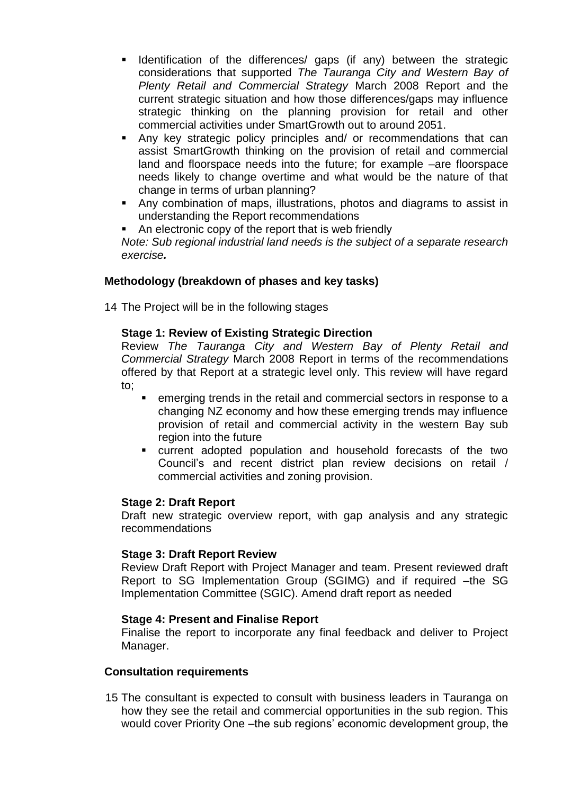- **If Identification of the differences/ gaps (if any) between the strategic** considerations that supported *The Tauranga City and Western Bay of Plenty Retail and Commercial Strategy* March 2008 Report and the current strategic situation and how those differences/gaps may influence strategic thinking on the planning provision for retail and other commercial activities under SmartGrowth out to around 2051.
- Any key strategic policy principles and/ or recommendations that can assist SmartGrowth thinking on the provision of retail and commercial land and floorspace needs into the future; for example –are floorspace needs likely to change overtime and what would be the nature of that change in terms of urban planning?
- Any combination of maps, illustrations, photos and diagrams to assist in understanding the Report recommendations
- An electronic copy of the report that is web friendly

*Note: Sub regional industrial land needs is the subject of a separate research exercise.*

## **Methodology (breakdown of phases and key tasks)**

14 The Project will be in the following stages

## **Stage 1: Review of Existing Strategic Direction**

Review *The Tauranga City and Western Bay of Plenty Retail and Commercial Strategy* March 2008 Report in terms of the recommendations offered by that Report at a strategic level only. This review will have regard to;

- emerging trends in the retail and commercial sectors in response to a changing NZ economy and how these emerging trends may influence provision of retail and commercial activity in the western Bay sub region into the future
- current adopted population and household forecasts of the two Council's and recent district plan review decisions on retail / commercial activities and zoning provision.

## **Stage 2: Draft Report**

Draft new strategic overview report, with gap analysis and any strategic recommendations

## **Stage 3: Draft Report Review**

Review Draft Report with Project Manager and team. Present reviewed draft Report to SG Implementation Group (SGIMG) and if required –the SG Implementation Committee (SGIC). Amend draft report as needed

## **Stage 4: Present and Finalise Report**

Finalise the report to incorporate any final feedback and deliver to Project Manager.

#### **Consultation requirements**

15 The consultant is expected to consult with business leaders in Tauranga on how they see the retail and commercial opportunities in the sub region. This would cover Priority One –the sub regions' economic development group, the